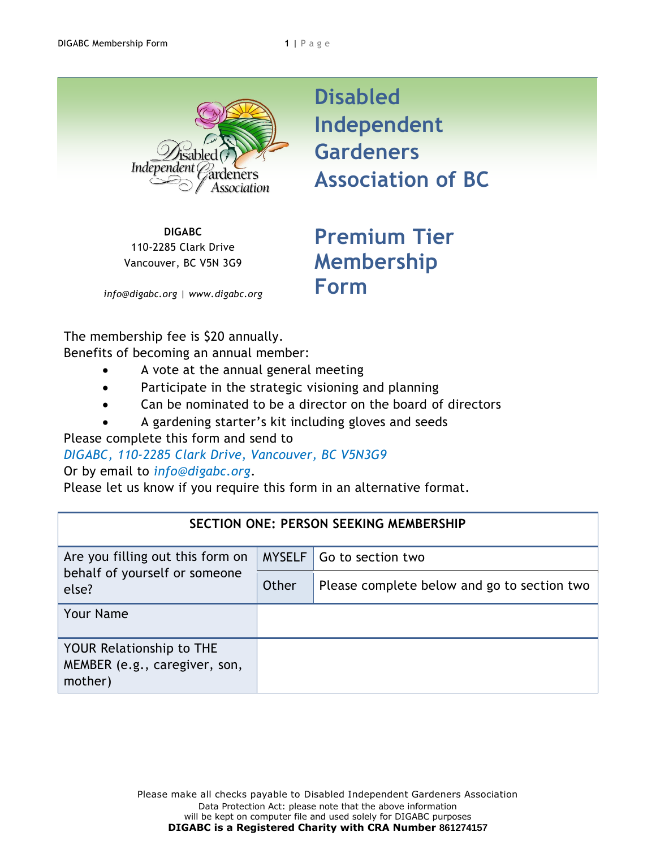Independer ssociation

**DIGABC** 110-2285 Clark Drive Vancouver, BC V5N 3G9

*info@digabc.org | www.digabc.org*

**Disabled Independent Gardeners Association of BC**

**Premium Tier Membership Form**

The membership fee is \$20 annually.

Benefits of becoming an annual member:

- A vote at the annual general meeting
- Participate in the strategic visioning and planning
- Can be nominated to be a director on the board of directors
- A gardening starter's kit including gloves and seeds

Please complete this form and send to

*DIGABC, 110-2285 Clark Drive, Vancouver, BC V5N3G9* 

Or by email to *info@digabc.org*.

Please let us know if you require this form in an alternative format.

| <b>SECTION ONE: PERSON SEEKING MEMBERSHIP</b>                               |               |                                             |  |  |
|-----------------------------------------------------------------------------|---------------|---------------------------------------------|--|--|
| Are you filling out this form on<br>behalf of yourself or someone<br>else?  | <b>MYSELF</b> | Go to section two                           |  |  |
|                                                                             | Other         | Please complete below and go to section two |  |  |
| <b>Your Name</b>                                                            |               |                                             |  |  |
| <b>YOUR Relationship to THE</b><br>MEMBER (e.g., caregiver, son,<br>mother) |               |                                             |  |  |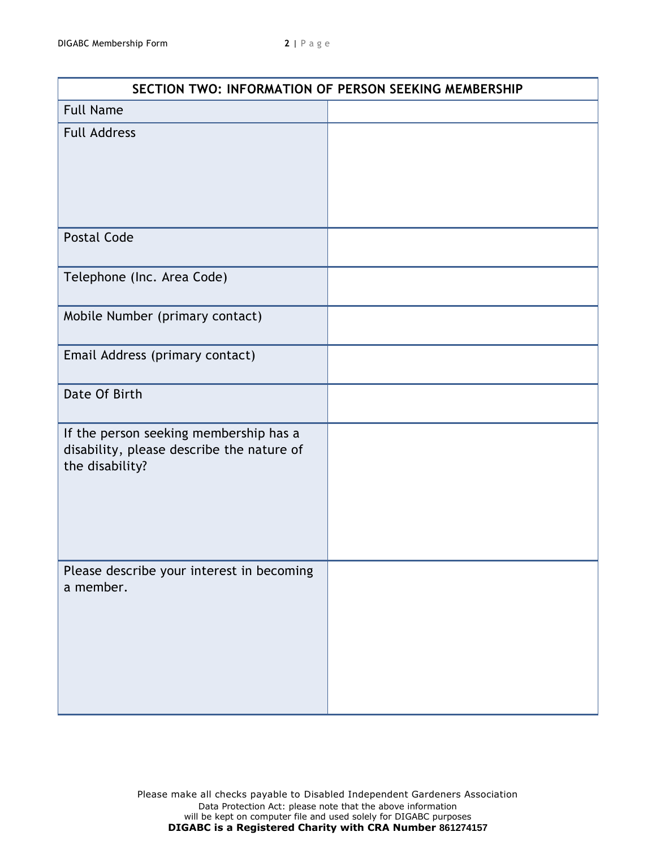| SECTION TWO: INFORMATION OF PERSON SEEKING MEMBERSHIP                                                  |  |  |
|--------------------------------------------------------------------------------------------------------|--|--|
| <b>Full Name</b>                                                                                       |  |  |
| <b>Full Address</b>                                                                                    |  |  |
| <b>Postal Code</b>                                                                                     |  |  |
| Telephone (Inc. Area Code)                                                                             |  |  |
| Mobile Number (primary contact)                                                                        |  |  |
| Email Address (primary contact)                                                                        |  |  |
| Date Of Birth                                                                                          |  |  |
| If the person seeking membership has a<br>disability, please describe the nature of<br>the disability? |  |  |
| Please describe your interest in becoming<br>a member.                                                 |  |  |